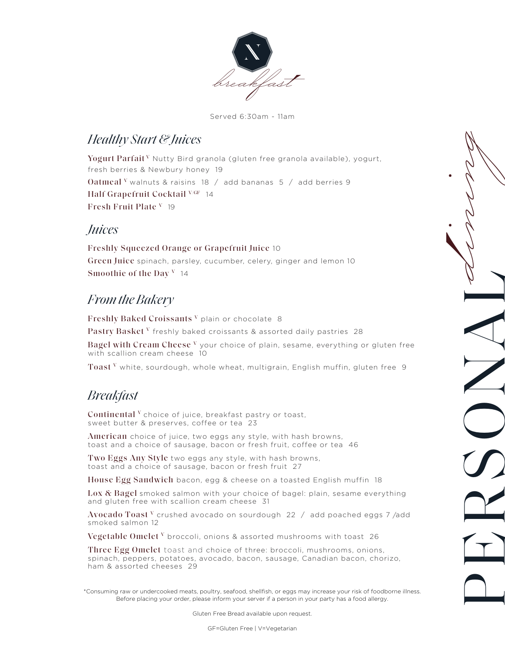

Served 6:30am - 11am

## *Healthy Start & Juices*

Yogurt Parfait<sup>y</sup> Nutty Bird granola (gluten free granola available), yogurt, fresh berries & Newbury honey 19 Oatmeal <sup>V</sup> walnuts & raisins 18  $/$  add bananas 5  $/$  add berries 9 Half Grapefruit Cocktail <sup>V/GF</sup> 14 Fresh Fruit Plate <sup>V</sup> 19

## *Juices*

Freshly Squeezed Orange or Grapefruit Juice 10 Green Juice spinach, parsley, cucumber, celery, ginger and lemon 10 Smoothie of the Day  $V$  14

# *From the Bakery*

Freshly Baked Croissants <sup>v</sup> plain or chocolate 8 Pastry Basket V freshly baked croissants & assorted daily pastries 28

Bagel with Cream Cheese <sup>v</sup> your choice of plain, sesame, everything or gluten free with scallion cream cheese 10

PERSONAL *dining*

Toast V white, sourdough, whole wheat, multigrain, English muffin, gluten free 9

# *Breakfast*

 $\mathop{\mathrm{Continental}}\nolimits{}^{\mathrm{V}}$  choice of juice, breakfast pastry or toast, sweet butter & preserves, coffee or tea 23

American choice of juice, two eggs any style, with hash browns, toast and a choice of sausage, bacon or fresh fruit, coffee or tea 46

Two Eggs Any Style two eggs any style, with hash browns, toast and a choice of sausage, bacon or fresh fruit 27

House Egg Sandwich bacon, egg & cheese on a toasted English muffin 18

Lox  $\&$  Bagel smoked salmon with your choice of bagel: plain, sesame everything and gluten free with scallion cream cheese 31

 $\rm Avocado \ Toast \ ^V$  crushed avocado on sourdough  $\rm \ 22$  / add poached eggs 7/add smoked salmon 12

Vegetable Omelet  $^{\mathrm{v}}$  broccoli, onions & assorted mushrooms with toast 26

Three Egg Omelet toast and choice of three: broccoli, mushrooms, onions, spinach, peppers, potatoes, avocado, bacon, sausage, Canadian bacon, chorizo, ham & assorted cheeses 29

\*Consuming raw or undercooked meats, poultry, seafood, shellfish, or eggs may increase your risk of foodborne illness. Before placing your order, please inform your server if a person in your party has a food allergy.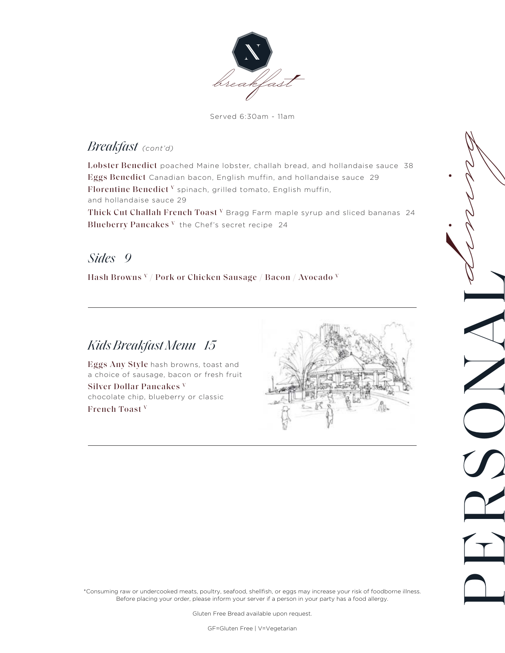

Served 6:30am - 11am

## *Breakfast (cont'd)*

Lobster Benedict poached Maine lobster, challah bread, and hollandaise sauce 38 Eggs Benedict Canadian bacon, English muffin, and hollandaise sauce 29 Florentine Benedict  $V$  spinach, grilled tomato, English muffin, and hollandaise sauce 29

Blueberry Pancakes  $V$  the Chef's secret recipe 24 Thick Cut Challah French Toast V Bragg Farm maple syrup and sliced bananas 24

## *Sides 9*

Hash Browns V / Pork or Chicken Sausage / Bacon / Avocado V

# *Kids Breakfast Menu 15*

Eggs Any Style hash browns, toast and a choice of sausage, bacon or fresh fruit

Silver Dollar Pancakes V chocolate chip, blueberry or classic French Toast V



PERSONAL *dining*

\*Consuming raw or undercooked meats, poultry, seafood, shellfish, or eggs may increase your risk of foodborne illness. Before placing your order, please inform your server if a person in your party has a food allergy.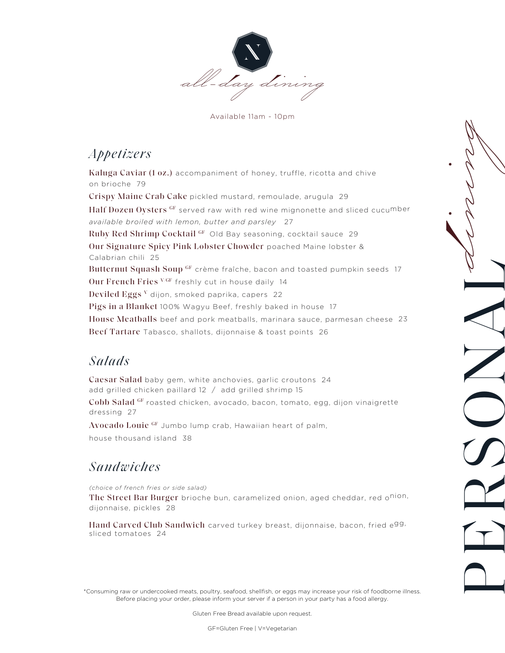

Available 11am - 10pm

# *Appetizers*

Our Signature Spicy Pink Lobster Chowder poached Maine lobster & Calabrian chili 25 Butternut Squash Soup <sup>GF</sup> crème fraîche, bacon and toasted pumpkin seeds 17 Our French Fries VGF freshly cut in house daily 14 Deviled Eggs V dijon, smoked paprika, capers 22 Pigs in a Blanket 100% Wagyu Beef, freshly baked in house 17 House Meatballs beef and pork meatballs, marinara sauce, parmesan cheese 23 Beef Tartare Tabasco, shallots, dijonnaise & toast points 26 Ruby Red Shrimp Cocktail GF Old Bay seasoning, cocktail sauce 29 Crispy Maine Crab Cake pickled mustard, remoulade, arugula 29 Half Dozen Oysters GF served raw with red wine mignonette and sliced cucumber *available broiled with lemon, butter and parsley* 27 Kaluga Caviar (1 oz.) accompaniment of honey, truffle, ricotta and chive on brioche 79

# *Salads*

add grilled chicken paillard 12 / add grilled shrimp 15 Cobb Salad GF roasted chicken, avocado, bacon, tomato, egg, dijon vinaigrette dressing 27 Caesar Salad baby gem, white anchovies, garlic croutons 24

PERSONAL *dining*

Avocado Louie GF Jumbo lump crab, Hawaiian heart of palm, house thousand island 38

# *Sandwiches*

The Street Bar Burger brioche bun, caramelized onion, aged cheddar, red o<sup>nion,</sup> dijonnaise, pickles 28 *(choice of french fries or side salad)* 

Hand Carved Club Sandwich carved turkey breast, dijonnaise, bacon, fried e<sup>gg,</sup> sliced tomatoes 24

\*Consuming raw or undercooked meats, poultry, seafood, shellfish, or eggs may increase your risk of foodborne illness. Before placing your order, please inform your server if a person in your party has a food allergy.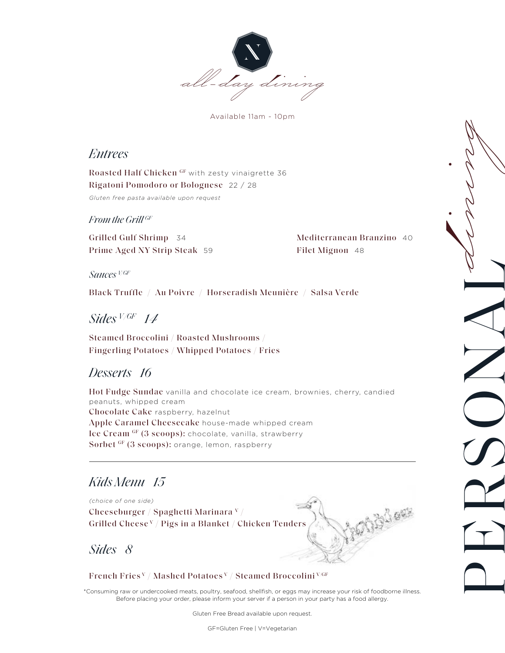

Available 11am - 10pm

### *Entrees*

 Rigatoni Pomodoro or Bolognese 22 / 28 Roasted Half Chicken GF with zesty vinaigrette 36 *Gluten free pasta available upon request* 

#### *From the Grill GF*

Grilled Gulf Shrimp 34 Grilled Gulf Shrimp <sup>34</sup> Mediterranean Branzino Prime Aged NY Strip Steak <sup>59</sup> Filet Mignon <sup>48</sup>

 40 Filet Mignon 48

PERSONAL *dining*

*Sauces V/GF* 

Black Truffle / Au Poivre / Horseradish Meunière / Salsa Verde

# *Sides V /GF 1<sup>4</sup>*

Steamed Broccolini / Roasted Mushrooms / Fingerling Potatoes / Whipped Potatoes / Fries

## *Desserts 16*

Hot Fudge Sundae vanilla and chocolate ice cream, brownies, cherry, candied peanuts, whipped cream Chocolate Cake raspberry, hazelnut Apple Caramel Cheesecake house-made whipped cream Ice Cream GF (3 scoops): chocolate, vanilla, strawberry Sorbet GF (3 scoops): orange, lemon, raspberry

## *Kids Menu 15*

*(choice of one side)* 

Cheeseburger / Spaghetti Marinara V / Grilled Cheese V / Pigs in a Blanket / Chicken Tenders

*Sides 8* 

#### French Fries V / Mashed Potatoes V / Steamed Broccolini V/GF

\*Consuming raw or undercooked meats, poultry, seafood, shellfish, or eggs may increase your risk of foodborne illness. Before placing your order, please inform your server if a person in your party has a food allergy.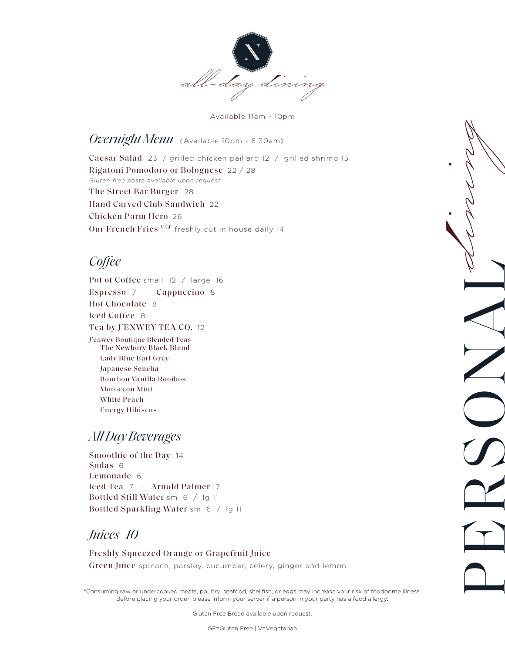

Available 11am - 10pm

The Street Bar Burger 28 Hand Carved Club Sandwich 22 Chicken Parm Hero 26 Our French Fries V/GF freshly cut in house daily 14 *Gluten free pasta available upon request*  Caesar Salad 23 / grilled chicken paillard 12 / grilled shrimp 15 Rigatoni Pomodoro or Bolognese 22 / 28 *Overnight Menu* (Available 10pm - 6:30am)

# *Coffee*

The Newbury Black Blend Lady Blue Earl Grey Japanese Sencha Bourbon Vanilla Rooibos Moroccon Mint White Peach Energy Hibiscus Pot of Coffee small 12 / large 16 Espresso 7 / Cappuccino 8 Hot Chocolate 8 Iced Coffee 8 Tea by J'ENWEY TEA CO. 12 J'enwey Boutique Blended Teas

## *All Day Beverages*

Bottled Sparkling Water sm 6 / lg 11 Smoothie of the Day 14 Sodas 6 Lemonade 6 Iced Tea 7 / Arnold Palmer 7 Bottled Still Water sm 6 / lg 11

## *Juices 10*

Freshly Squeezed Orange or Grapefruit Juice Green Juice spinach, parsley, cucumber, celery, ginger and lemon

\*Consuming raw or undercooked meats, poultry, seafood, shellfish, or eggs may increase your risk of foodborne illness. Before placing your order, please inform your server if a person in your party has a food allergy.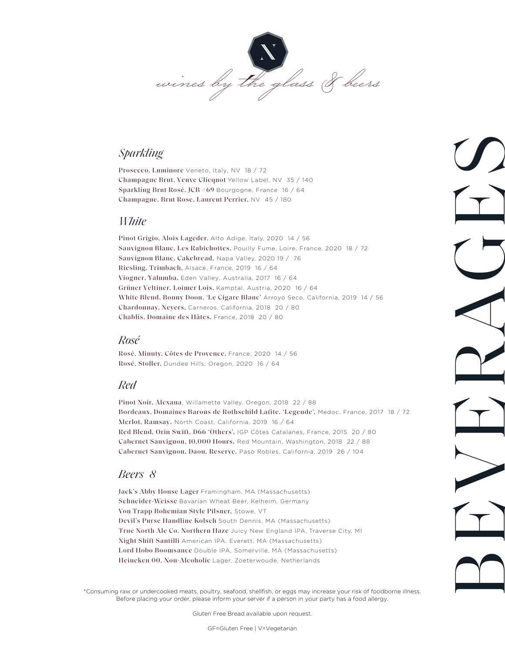

#### *Sparkling*

Prosecco, Luminore Veneto, Italy, NV 18 / 72 Champagne Brut, Veuve Clicquot Yellow Label, NV 35 / 140-Sparkling Brut Rosé, JCB #69 Bourgogne, France 16 / 64 Champagne, Brut Rose, Laurent Perrier, NV 45 / 180

#### *White*

Pinot Grigio, Alois Lageder, Alto Adige, Italy, 2020 14 / 56 Sauvignon Blanc, Les Rabichottes, Pouilly Fume, Loire, France, 2020 18 / 72 Sauvignon Blanc, Cakebread, Napa Valley, 2020 19 / 76 Riesling, Trimbach, Alsace, France, 2019 16 / 64 Viogner, Yalumba, Eden Valley, Australia, 2017 16 / 64 Grüner Veltiner, Loimer Lois, Kamptal, Austria, 2020 16-/ 64-White Blend, Bonny Doon, 'Le Cigare Blanc' Arroyo Seco, California, 2019 14 / 56 Chardonnay, Neyers, Carneros, California, 2018 20 / 80 Chablis, Domaine des Hâtes, France, 2018 20 / 80

#### *Rosé*

Rosé, Minuty, Côtes de Provence, France, 2020 14 / 56 Rosé, Stoller, Dundee Hills, Oregon, 2020 16 / 64

#### *Red*

Pinot Noir, Alexana, Willamette Valley, Oregon, 2018 22 / 88 Bordeaux, Domaines Barons de Rothschild Lafite, 'Legende', Medoc, France, 2017 18 / 72 Merlot, Ramsay, North Coast, California, 2019 16 / 64-Red Blend, Orin Swift, D66 'Others', IGP Côtes Catalanes, France, 2015 20 / 80 Cabernet Sauvignon, 10,000 Hours, Red Mountain, Washington, 2018 22 / 88 Cabernet Sauvignon, Daou, Reserve, Paso Robles, California, 2019 26 / 104

BEVERAGES

### *Beers 8*

Jack's Abby House Lager Framingham, MA (Massachusetts) Schneider-Weisse Bavarian Wheat Beer, Kelheim, Germany Von Trapp Bohemian Style Pilsner, Stowe, VT Devil's Purse Handline Kolsch South Dennis, MA (Massachusetts) True North Ale Co. Northern Haze Juicy New England IPA, Traverse City, MI Night Shift Santilli American IPA, Everett, MA (Massachusetts) Lord Hobo Boomsauce Double IPA, Somerville, MA (Massachusetts) Heineken 00, Non-Alcoholic Lager, Zoeterwoude, Netherlands

\*Consuming raw or undercooked meats, poultry, seafood, shellfish, or eggs may increase your risk of foodborne illness. Before placing your order, please inform your server if a person in your party has a food allergy.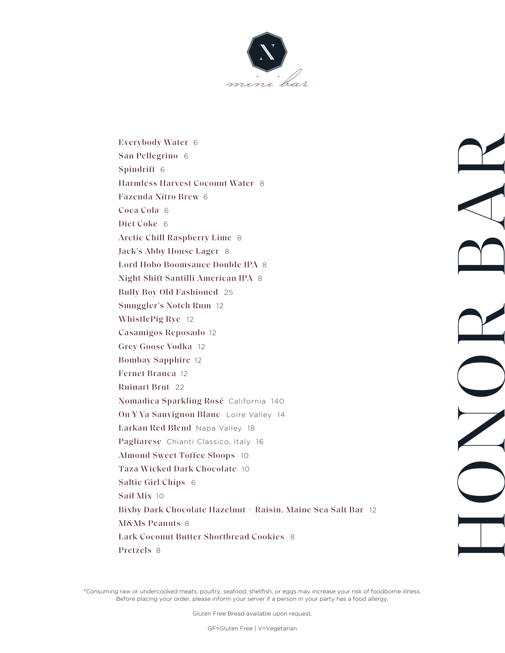

Pretzels 8 Lark Coconut Butter Shortbread Cookies 8 M&Ms Peanuts 8 Bixby Dark Chocolate Hazelnut + Raisin, Maine Sea Salt Bar 12 Sail Mix 10 Saltie Girl Chips 6 Taza Wicked Dark Chocolate 10 Almond Sweet Toffee Sloops 10 Pagliarese Chianti Classico, Italy 16 Larkan Red Blend Napa Valley 18 On Y Va Sauvignon Blanc Loire Valley 14 Nomadica Sparkling Rosé California 140 Ruinart Brut 22 Fernet Branca 12 Bombay Sapphire 12 Grey Goose Vodka 12 Casamigos Reposado 12 WhistlePig Rye 12 Smuggler's Notch Rum 12 Bully Boy Old Fashioned 25 Night Shift Santilli American IPA 8 Lord Hobo Boomsauce Double IPA 8 Jack's Abby House Lager 8 Arctic Chill Raspberry Lime 8 Diet Coke 6 Coca Cola 6 Fazenda Nitro Brew 6 Harmless Harvest Coconut Water 8 San Pellegrino 6 6<br>ill Raspberry Lii<br>by House Lager<br>o Boomsauce De<br>ft Santilli Ameri<br>Old Fashioned Everybody Water 6<br>
San Pellegrino 6<br>
Spindrift 6<br>
Harmless Harvest Coconut Water 8<br>
Fazenda Nitro Brew 6<br>
Coca Cola 6<br>
Diet Coke 6<br>
Arctic Chill Raspberry Lime 8<br>
Jack's Abby House Lager 8<br>
Lord Hobo Boomsauce Double IPA 8 Everybody Water 6 Spindrift 6

HOND BAR

\*Consuming raw or undercooked meats, poultry, seafood, shellfish, or eggs may increase your risk of foodborne illness. Before placing your order, please inform your server if a person in your party has a food allergy.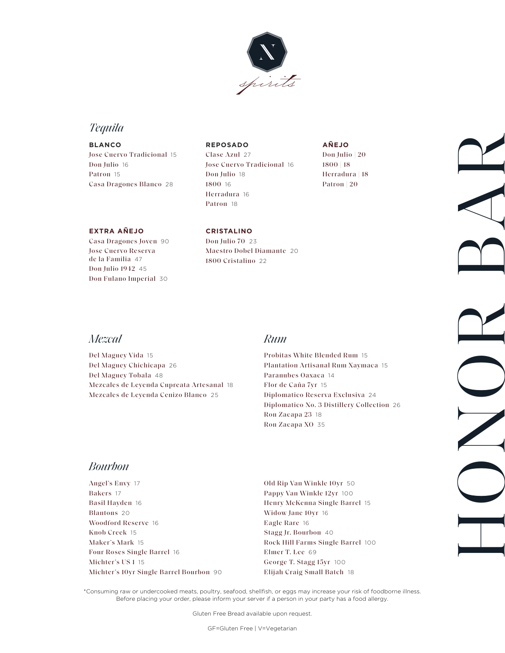

## *Tequila*

Jose Cuervo Tradicional 15 Don Julio 16 Patron 15 Casa Dragones Blanco 28 **BLANCO** 

#### **REPOSADO**

Clase Azul 27 Jose Cuervo Tradicional 16 Don Julio 18 1800 16 Herradura 16 Patron 18

**AÑEJO** 

Don Julio | 20 1800 | 18 Herradura | 18 Patron | 20

#### **EXTRA AÑEJO CRISTALINO**

Don Julio 1942 45 Don Fulano Imperial 30 Casa Dragones Joven 90 Don Julio 70 23 de la Familia 47

1800 Cristalino 22 Jose Cuervo Reserva Maestro Dobel Diamante 20

### *Mezcal*

Del Maguey Vida 15 Del Maguey Chichicapa 26 Del Maguey Tobala 48 Mezcales de Leyenda Cupreata Artesanal 18 Mezcales de Leyenda Cenizo Blanco 25

#### *Rum*

Probitas White Blended Rum 15 Plantation Artisanal Rum Xaymaca 15 Paranubes Oaxaca 14 Flor de Caña 7yr 15 Diplomatico Reserva Exclusiva 24 Diplomatico No. 3 Distillery Collection 26 Ron Zacapa 23 18 Ron Zacapa XO 35

HOND BAR

### *Bourbon*

Angel's Envy 17 Bakers 17 Basil Hayden 16 Blantons 20 Woodford Reserve 16 Knob Creek 15 Maker's Mark 15 Four Roses Single Barrel 16 Michter's US 1 15 Michter's 10yr Single Barrel Bourbon 90

Old Rip Van Winkle 10yr 50 Pappy Van Winkle 12yr 100 Henry McKenna Single Barrel 15 Widow Jane 10yr 16 Eagle Rare 16 Stagg Jr. Bourbon 40 Rock Hill Farms Single Barrel 100 Elmer T. Lee 69 George T. Stagg 15yr 100 Elijah Craig Small Batch 18

\*Consuming raw or undercooked meats, poultry, seafood, shellfish, or eggs may increase your risk of foodborne illness. Before placing your order, please inform your server if a person in your party has a food allergy.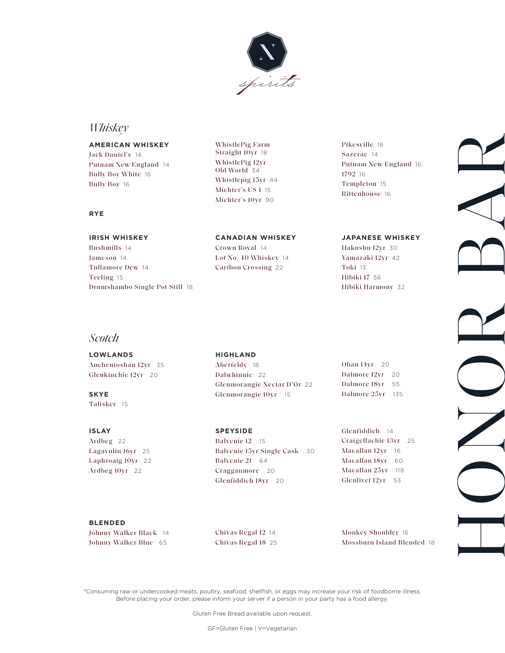

## *Whiskey*

**RYE** 

**AMERICAN WHISKEY** WhistlePig Farm Pikesville 18<br> **AMERICAN WHISKEY** Straight 10yr 18 Sazerac 14 Jack Daniel's 14 Straight 10yr 18 Sazerac <sup>14</sup> Putnam New England 14 Bully Boy White 16 Bully Boy 16

## WhistlePig 12yr Old World 34 Whistlepig 15yr 44 Michter's US 1 15 Michter's 10yr 90

Putnam New England 16 1792 16 Templeton 15 Rittenhouse 16

#### **IRISH WHISKEY CANADIAN WHISKEY JAPANESE WHISKEY**

Bushmills 14 Crown Royal 14 Hakushu 12yr 30 Jameson 14 Lot No. 40 Whiskey 14 Yamazaki 12yr 42 Tullamore Dew 14 Caribou Crossing 22 Toki 13 Teeling 15 Hibiki 17 56 Drumshambo Single Pot Still 18 **Hibiki Harmony 32** 

#### *Scotch*

**LOWLANDS HIGHLAND** 

Talisker 15

Auchentoshan 12yr 35 Aberfeldy 18 Oban 14yr 20 Glenkinchie 12yr 20 Dalwhinnie 22 Dalmore 12yr 20 Glenmorangie Nectar D'Or 22 Dalmore 18yr 55 **SKYE Glenmorangie 10yr** 15 Dalmore 25yr 135

Ardbeg 22 Balvenie 12 15 Craigellachie 13yr 25 Lagavulin 16yr 25 Balvenie 15yr Single Cask 30 Macallan 12yr 16 Laphroaig 10yr 22 Balvenie 21 64 Macallan 18yr 60 Ardbeg 10yr 22 Cragganmore 20 Macallan 25yr 118 Glenfiddich 18yr 20 Glenlivet 12yr 53

HOND BAR

**ISLAY SPEYSIDE Glenfiddich 14** 

#### **BLENDED**

Johnny Walker Black 14 Chivas Regal 12 14 Monkey Shoulder 16

Johnny Walker Blue 65 Chivas Regal 18 25 Mossburn Island Blended 18

\*Consuming raw or undercooked meats, poultry, seafood, shellfish, or eggs may increase your risk of foodborne illness. Before placing your order, please inform your server if a person in your party has a food allergy.